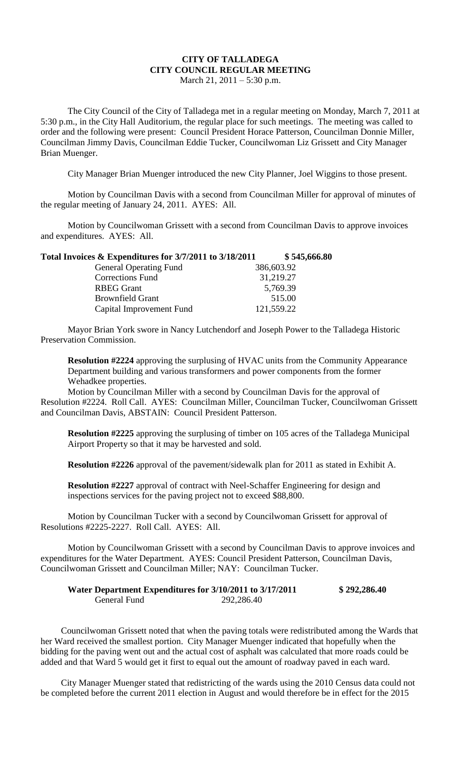## **CITY OF TALLADEGA CITY COUNCIL REGULAR MEETING** March 21, 2011 – 5:30 p.m.

The City Council of the City of Talladega met in a regular meeting on Monday, March 7, 2011 at 5:30 p.m., in the City Hall Auditorium, the regular place for such meetings. The meeting was called to order and the following were present: Council President Horace Patterson, Councilman Donnie Miller, Councilman Jimmy Davis, Councilman Eddie Tucker, Councilwoman Liz Grissett and City Manager Brian Muenger.

City Manager Brian Muenger introduced the new City Planner, Joel Wiggins to those present.

Motion by Councilman Davis with a second from Councilman Miller for approval of minutes of the regular meeting of January 24, 2011. AYES: All.

Motion by Councilwoman Grissett with a second from Councilman Davis to approve invoices and expenditures. AYES: All.

| Total Invoices & Expenditures for 3/7/2011 to 3/18/2011 | \$545,666.80 |
|---------------------------------------------------------|--------------|
| <b>General Operating Fund</b>                           | 386,603.92   |
| <b>Corrections Fund</b>                                 | 31,219.27    |
| <b>RBEG Grant</b>                                       | 5,769.39     |
| <b>Brownfield Grant</b>                                 | 515.00       |
| Capital Improvement Fund                                | 121,559.22   |

Mayor Brian York swore in Nancy Lutchendorf and Joseph Power to the Talladega Historic Preservation Commission.

**Resolution #2224** approving the surplusing of HVAC units from the Community Appearance Department building and various transformers and power components from the former Wehadkee properties.

Motion by Councilman Miller with a second by Councilman Davis for the approval of Resolution #2224. Roll Call. AYES: Councilman Miller, Councilman Tucker, Councilwoman Grissett and Councilman Davis, ABSTAIN: Council President Patterson.

**Resolution #2225** approving the surplusing of timber on 105 acres of the Talladega Municipal Airport Property so that it may be harvested and sold.

**Resolution #2226** approval of the pavement/sidewalk plan for 2011 as stated in Exhibit A.

**Resolution #2227** approval of contract with Neel-Schaffer Engineering for design and inspections services for the paving project not to exceed \$88,800.

Motion by Councilman Tucker with a second by Councilwoman Grissett for approval of Resolutions #2225-2227. Roll Call. AYES: All.

Motion by Councilwoman Grissett with a second by Councilman Davis to approve invoices and expenditures for the Water Department. AYES: Council President Patterson, Councilman Davis, Councilwoman Grissett and Councilman Miller; NAY: Councilman Tucker.

| Water Department Expenditures for 3/10/2011 to 3/17/2011 |            | \$292,286.40 |
|----------------------------------------------------------|------------|--------------|
| General Fund                                             | 292,286.40 |              |

Councilwoman Grissett noted that when the paving totals were redistributed among the Wards that her Ward received the smallest portion. City Manager Muenger indicated that hopefully when the bidding for the paving went out and the actual cost of asphalt was calculated that more roads could be added and that Ward 5 would get it first to equal out the amount of roadway paved in each ward.

City Manager Muenger stated that redistricting of the wards using the 2010 Census data could not be completed before the current 2011 election in August and would therefore be in effect for the 2015